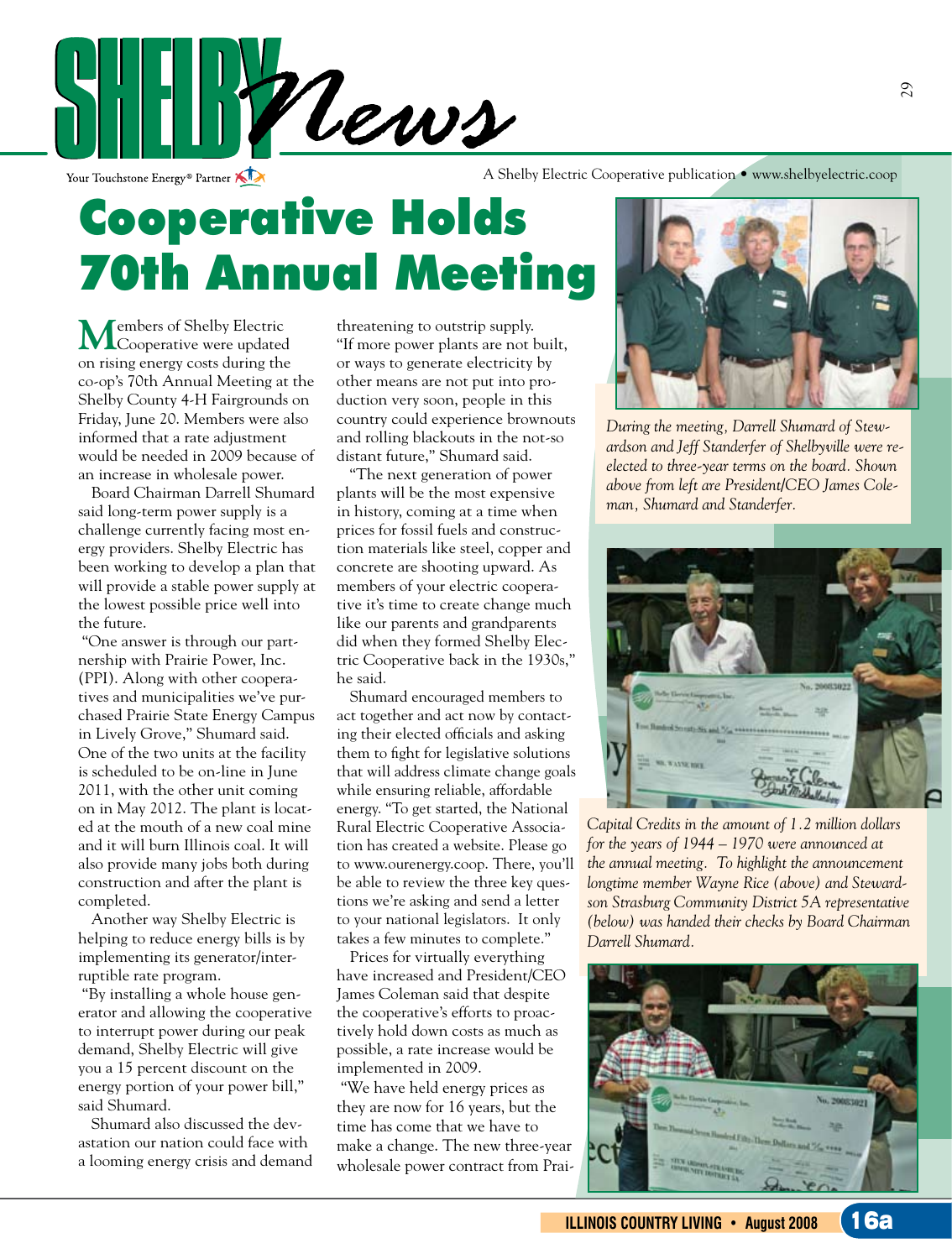

Your Touchstone Energy<sup>®</sup> Partner

A Shelby Electric Cooperative publication • www.shelbyelectric.coop

# Cooperative Holds 70th Annual Meeting

**M**embers of Shelby Electric Cooperative were updated on rising energy costs during the co-op's 70th Annual Meeting at the Shelby County 4-H Fairgrounds on Friday, June 20. Members were also informed that a rate adjustment would be needed in 2009 because of an increase in wholesale power.

Board Chairman Darrell Shumard said long-term power supply is a challenge currently facing most energy providers. Shelby Electric has been working to develop a plan that will provide a stable power supply at the lowest possible price well into the future.

 "One answer is through our partnership with Prairie Power, Inc. (PPI). Along with other cooperatives and municipalities we've purchased Prairie State Energy Campus in Lively Grove," Shumard said. One of the two units at the facility is scheduled to be on-line in June 2011, with the other unit coming on in May 2012. The plant is located at the mouth of a new coal mine and it will burn Illinois coal. It will also provide many jobs both during construction and after the plant is completed.

Another way Shelby Electric is helping to reduce energy bills is by implementing its generator/interruptible rate program.

 "By installing a whole house generator and allowing the cooperative to interrupt power during our peak demand, Shelby Electric will give you a 15 percent discount on the energy portion of your power bill," said Shumard.

Shumard also discussed the devastation our nation could face with a looming energy crisis and demand threatening to outstrip supply. "If more power plants are not built, or ways to generate electricity by other means are not put into production very soon, people in this country could experience brownouts and rolling blackouts in the not-so distant future," Shumard said.

"The next generation of power plants will be the most expensive in history, coming at a time when prices for fossil fuels and construction materials like steel, copper and concrete are shooting upward. As members of your electric cooperative it's time to create change much like our parents and grandparents did when they formed Shelby Electric Cooperative back in the 1930s," he said.

Shumard encouraged members to act together and act now by contacting their elected officials and asking them to fight for legislative solutions that will address climate change goals while ensuring reliable, affordable energy. "To get started, the National Rural Electric Cooperative Association has created a website. Please go to www.ourenergy.coop. There, you'll be able to review the three key questions we're asking and send a letter to your national legislators. It only takes a few minutes to complete."

Prices for virtually everything have increased and President/CEO James Coleman said that despite the cooperative's efforts to proactively hold down costs as much as possible, a rate increase would be implemented in 2009.

 "We have held energy prices as they are now for 16 years, but the time has come that we have to make a change. The new three-year wholesale power contract from Prai-



*During the meeting, Darrell Shumard of Stewardson and Jeff Standerfer of Shelbyville were reelected to three-year terms on the board. Shown above from left are President/CEO James Coleman, Shumard and Standerfer.*



*Capital Credits in the amount of 1.2 million dollars for the years of 1944 – 1970 were announced at the annual meeting. To highlight the announcement longtime member Wayne Rice (above) and Stewardson Strasburg Community District 5A representative (below) was handed their checks by Board Chairman Darrell Shumard.*

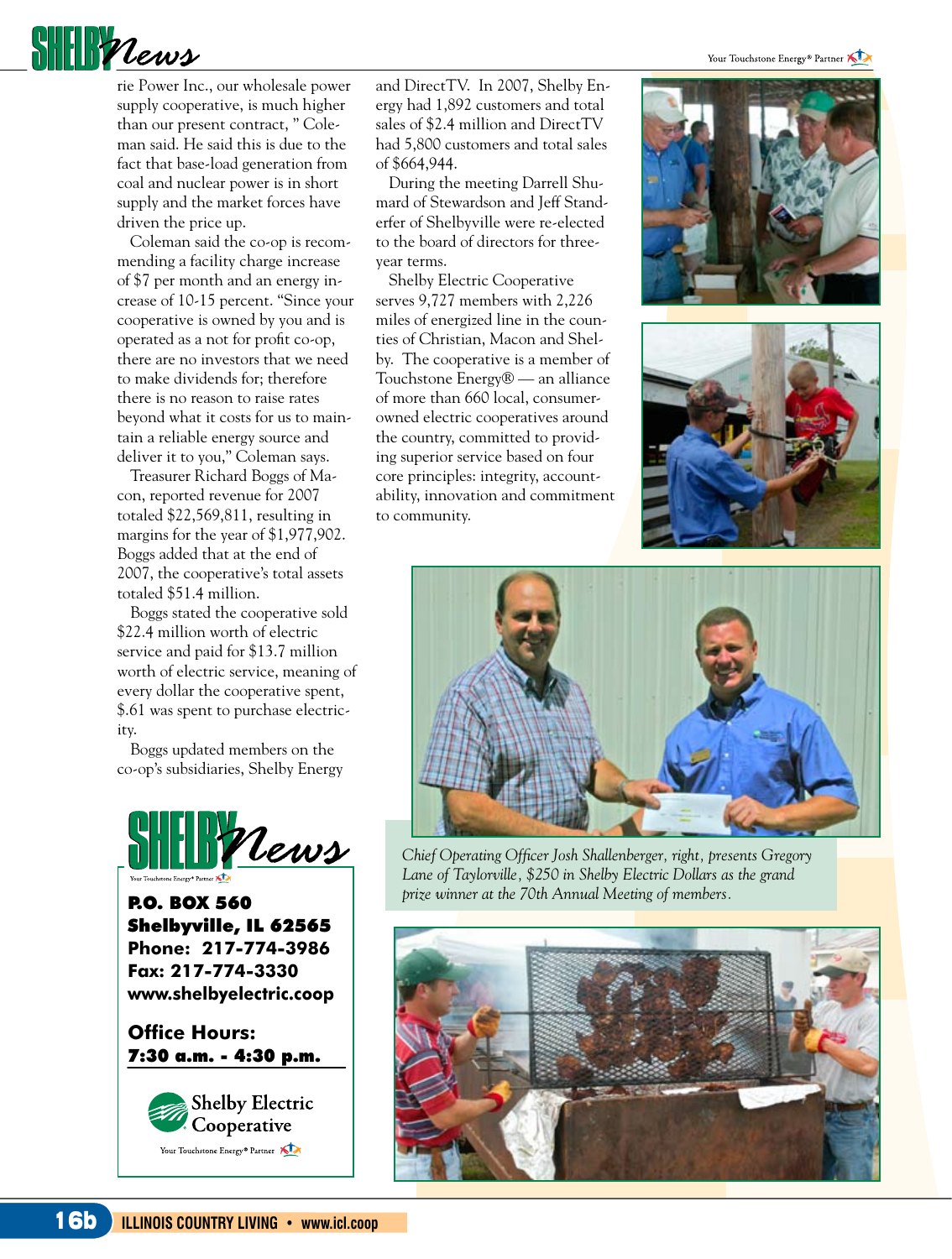Your Touchstone Energy<sup>®</sup> Partner



rie Power Inc., our wholesale power supply cooperative, is much higher than our present contract, " Coleman said. He said this is due to the fact that base-load generation from coal and nuclear power is in short supply and the market forces have driven the price up.

Coleman said the co-op is recommending a facility charge increase of \$7 per month and an energy increase of 10-15 percent. "Since your cooperative is owned by you and is operated as a not for profit co-op, there are no investors that we need to make dividends for; therefore there is no reason to raise rates beyond what it costs for us to maintain a reliable energy source and deliver it to you," Coleman says.

Treasurer Richard Boggs of Macon, reported revenue for 2007 totaled \$22,569,811, resulting in margins for the year of \$1,977,902. Boggs added that at the end of 2007, the cooperative's total assets totaled \$51.4 million.

Boggs stated the cooperative sold \$22.4 million worth of electric service and paid for \$13.7 million worth of electric service, meaning of every dollar the cooperative spent, \$.61 was spent to purchase electricity.

Boggs updated members on the co-op's subsidiaries, Shelby Energy



P.O. BOX 560 Shelbyville, IL 62565 **Phone: 217-774-3986 Fax: 217-774-3330 www.shelbyelectric.coop**

**Office Hours:**  7:30 a.m. - 4:30 p.m.



and DirectTV. In 2007, Shelby Energy had 1,892 customers and total sales of \$2.4 million and DirectTV had 5,800 customers and total sales of \$664,944.

During the meeting Darrell Shumard of Stewardson and Jeff Standerfer of Shelbyville were re-elected to the board of directors for threeyear terms.

Shelby Electric Cooperative serves 9,727 members with 2,226 miles of energized line in the counties of Christian, Macon and Shelby. The cooperative is a member of Touchstone Energy® — an alliance of more than 660 local, consumerowned electric cooperatives around the country, committed to providing superior service based on four core principles: integrity, accountability, innovation and commitment to community.







*Chief Operating Officer Josh Shallenberger, right, presents Gregory Lane of Taylorville, \$250 in Shelby Electric Dollars as the grand prize winner at the 70th Annual Meeting of members.*

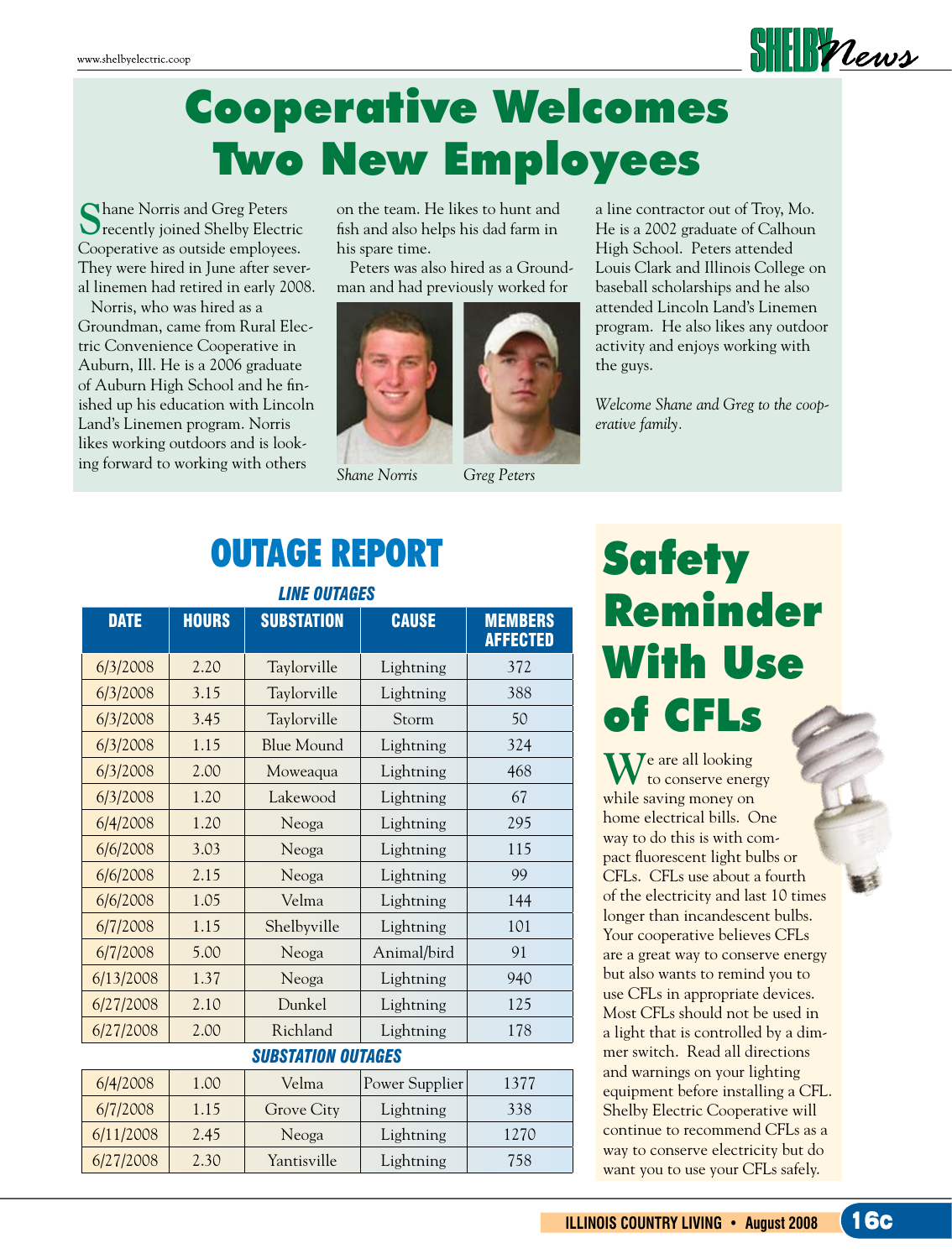

## Cooperative Welcomes Two New Employees

**S**hane Norris and Greg Peters recently joined Shelby Electric Cooperative as outside employees. They were hired in June after several linemen had retired in early 2008.

Norris, who was hired as a Groundman, came from Rural Electric Convenience Cooperative in Auburn, Ill. He is a 2006 graduate of Auburn High School and he finished up his education with Lincoln Land's Linemen program. Norris likes working outdoors and is looking forward to working with others

on the team. He likes to hunt and fish and also helps his dad farm in his spare time.

Peters was also hired as a Groundman and had previously worked for





*Shane Norris Greg Peters*

### OUTAGE REPORT

| <b>LINE OUTAGES</b>       |              |                   |                |                                   |
|---------------------------|--------------|-------------------|----------------|-----------------------------------|
| <b>DATE</b>               | <b>HOURS</b> | <b>SUBSTATION</b> | <b>CAUSE</b>   | <b>MEMBERS</b><br><b>AFFECTED</b> |
| 6/3/2008                  | 2.20         | Taylorville       | Lightning      | 372                               |
| 6/3/2008                  | 3.15         | Taylorville       | Lightning      | 388                               |
| 6/3/2008                  | 3.45         | Taylorville       | Storm          | 50                                |
| 6/3/2008                  | 1.15         | Blue Mound        | Lightning      | 324                               |
| 6/3/2008                  | 2.00         | Moweaqua          | Lightning      | 468                               |
| 6/3/2008                  | 1.20         | Lakewood          | Lightning      | 67                                |
| 6/4/2008                  | 1.20         | Neoga             | Lightning      | 295                               |
| 6/6/2008                  | 3.03         | Neoga             | Lightning      | 115                               |
| 6/6/2008                  | 2.15         | Neoga             | Lightning      | 99                                |
| 6/6/2008                  | 1.05         | Velma             | Lightning      | 144                               |
| 6/7/2008                  | 1.15         | Shelbyville       | Lightning      | 101                               |
| 6/7/2008                  | 5.00         | Neoga             | Animal/bird    | 91                                |
| 6/13/2008                 | 1.37         | Neoga             | Lightning      | 940                               |
| 6/27/2008                 | 2.10         | Dunkel            | Lightning      | 125                               |
| 6/27/2008                 | 2.00         | Richland          | Lightning      | 178                               |
| <b>SUBSTATION OUTAGES</b> |              |                   |                |                                   |
| 6/4/2008                  | 1.00         | Velma             | Power Supplier | 1377                              |
| 6/7/2008                  | 1.15         | Grove City        | Lightning      | 338                               |
| 6/11/2008                 | 2.45         | Neoga             | Lightning      | 1270                              |
| 6/27/2008                 | 2.30         | Yantisville       | Lightning      | 758                               |

a line contractor out of Troy, Mo. He is a 2002 graduate of Calhoun High School. Peters attended Louis Clark and Illinois College on baseball scholarships and he also attended Lincoln Land's Linemen program. He also likes any outdoor activity and enjoys working with the guys.

*Welcome Shane and Greg to the cooperative family.*

## **Safety** Reminder With Use of CFLs

 $\mathbf{W}^{\text{e are all looking}}$  to conserve energy while saving money on home electrical bills. One way to do this is with compact fluorescent light bulbs or CFLs. CFLs use about a fourth of the electricity and last 10 times longer than incandescent bulbs. Your cooperative believes CFLs are a great way to conserve energy but also wants to remind you to use CFLs in appropriate devices. Most CFLs should not be used in a light that is controlled by a dimmer switch. Read all directions and warnings on your lighting equipment before installing a CFL. Shelby Electric Cooperative will continue to recommend CFLs as a way to conserve electricity but do want you to use your CFLs safely.

**ILLINOIS COUNTRY LIVING • August 2008**  16c